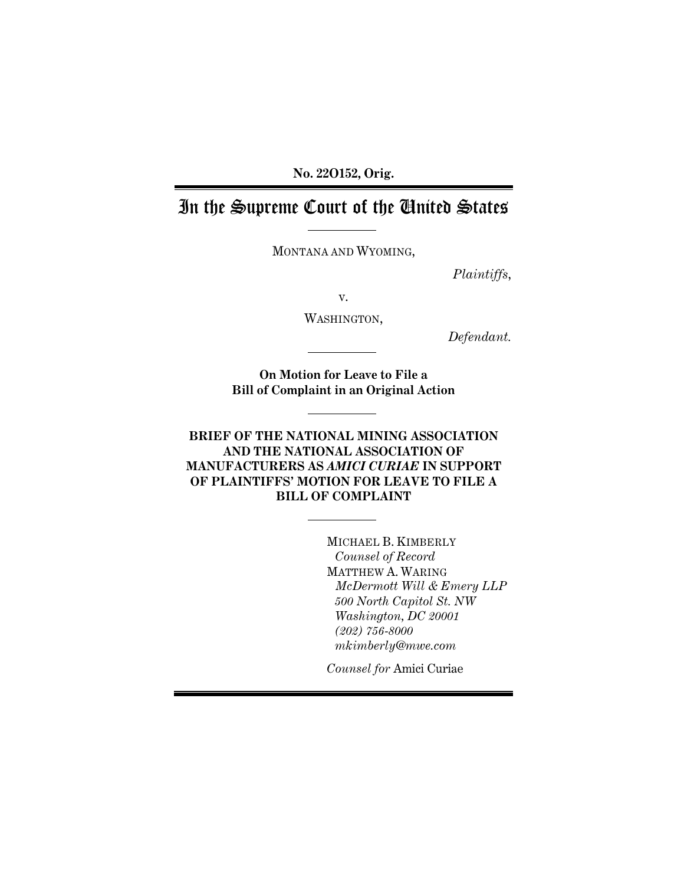**No. 22O152, Orig.** 

# In the Supreme Court of the United States

MONTANA AND WYOMING,

*Plaintiffs*,

v.

WASHINGTON,

*Defendant.* 

**On Motion for Leave to File a Bill of Complaint in an Original Action** 

**BRIEF OF THE NATIONAL MINING ASSOCIATION AND THE NATIONAL ASSOCIATION OF MANUFACTURERS AS** *AMICI CURIAE* **IN SUPPORT OF PLAINTIFFS' MOTION FOR LEAVE TO FILE A BILL OF COMPLAINT** 

> MICHAEL B. KIMBERLY *Counsel of Record*  MATTHEW A. WARING *McDermott Will & Emery LLP 500 North Capitol St. NW Washington, DC 20001 (202) 756-8000 mkimberly@mwe.com*

*Counsel for* Amici Curiae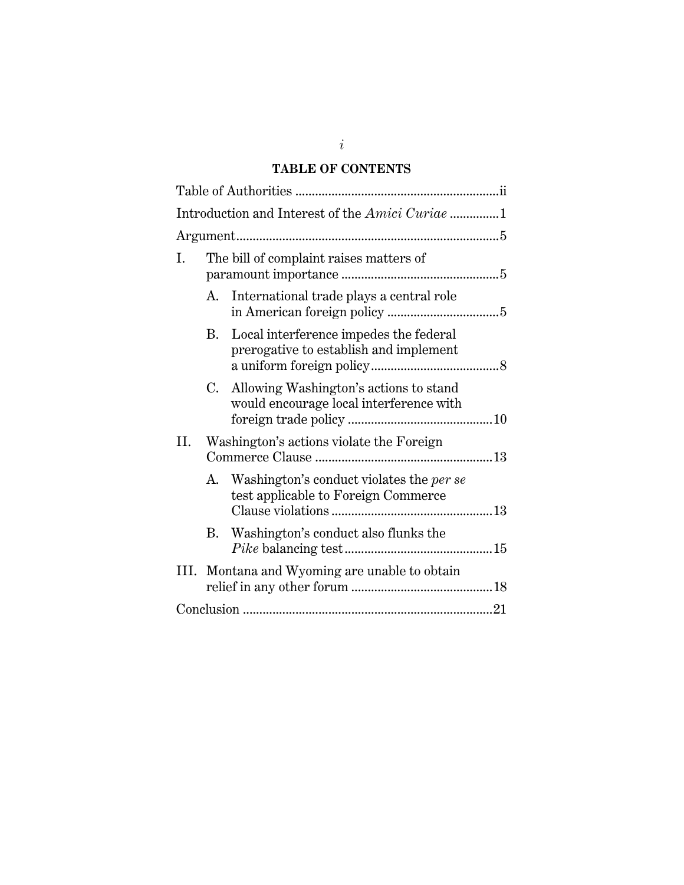### **TABLE OF CONTENTS**

| Introduction and Interest of the Amici Curiae 1 |                                         |                                                                                   |  |  |
|-------------------------------------------------|-----------------------------------------|-----------------------------------------------------------------------------------|--|--|
|                                                 |                                         |                                                                                   |  |  |
| Ι.                                              | The bill of complaint raises matters of |                                                                                   |  |  |
|                                                 | А.                                      | International trade plays a central role                                          |  |  |
|                                                 | В.                                      | Local interference impedes the federal<br>prerogative to establish and implement  |  |  |
|                                                 | C.                                      | Allowing Washington's actions to stand<br>would encourage local interference with |  |  |
| II.                                             |                                         | Washington's actions violate the Foreign                                          |  |  |
|                                                 | A.                                      | Washington's conduct violates the per se<br>test applicable to Foreign Commerce   |  |  |
|                                                 | В.                                      | Washington's conduct also flunks the                                              |  |  |
| III.                                            |                                         | Montana and Wyoming are unable to obtain                                          |  |  |
|                                                 |                                         |                                                                                   |  |  |

*i*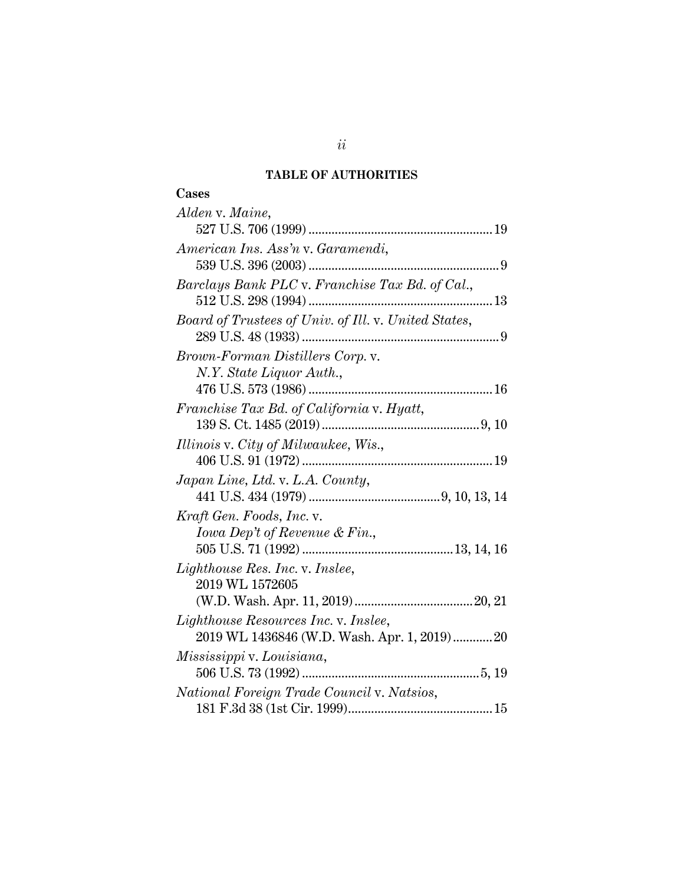### **TABLE OF AUTHORITIES**

| Cases                                                |
|------------------------------------------------------|
| Alden v. Maine,                                      |
|                                                      |
| American Ins. Ass'n v. Garamendi,                    |
|                                                      |
| Barclays Bank PLC v. Franchise Tax Bd. of Cal.,      |
|                                                      |
| Board of Trustees of Univ. of Ill. v. United States, |
|                                                      |
| Brown-Forman Distillers Corp. v.                     |
| N.Y. State Liquor Auth.,                             |
|                                                      |
| Franchise Tax Bd. of California v. Hyatt,            |
|                                                      |
| Illinois v. City of Milwaukee, Wis.,                 |
|                                                      |
| Japan Line, Ltd. v. L.A. County,                     |
|                                                      |
| Kraft Gen. Foods, Inc. v.                            |
| Iowa Dep't of Revenue & Fin.,                        |
|                                                      |
| Lighthouse Res. Inc. v. Inslee,                      |
| 2019 WL 1572605                                      |
|                                                      |
| Lighthouse Resources Inc. v. Inslee,                 |
| 2019 WL 1436846 (W.D. Wash. Apr. 1, 2019) 20         |
| Mississippi v. Louisiana,                            |
|                                                      |
| National Foreign Trade Council v. Natsios,           |
|                                                      |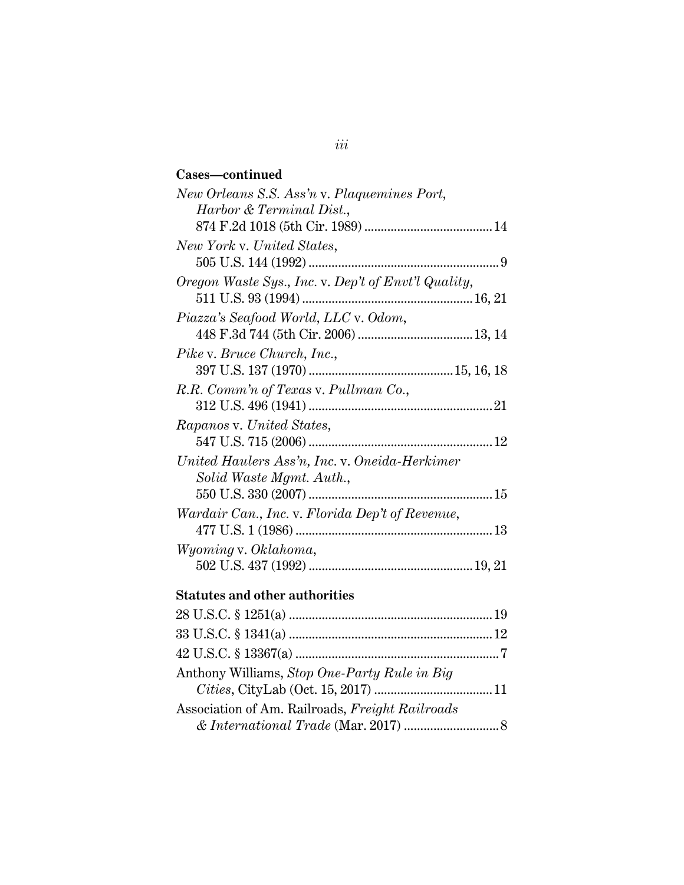## **Cases—continued**

| New Orleans S.S. Ass'n v. Plaquemines Port,         |
|-----------------------------------------------------|
| Harbor & Terminal Dist.,                            |
|                                                     |
| New York v. United States,                          |
|                                                     |
| Oregon Waste Sys., Inc. v. Dep't of Envt'l Quality, |
|                                                     |
| Piazza's Seafood World, LLC v. Odom,                |
|                                                     |
| Pike v. Bruce Church, Inc.,                         |
|                                                     |
| R.R. Comm'n of Texas v. Pullman Co.,                |
|                                                     |
| Rapanos v. United States,                           |
|                                                     |
| United Haulers Ass'n, Inc. v. Oneida-Herkimer       |
| Solid Waste Mgmt. Auth.,                            |
|                                                     |
| Wardair Can., Inc. v. Florida Dep't of Revenue,     |
|                                                     |
| Wyoming v. Oklahoma,                                |
|                                                     |
|                                                     |

## **Statutes and other authorities**

| $\& International\ Trade\ (Mar. 2017) \dots \dots \dots \dots \dots \dots \dots \dots \dots$ |
|----------------------------------------------------------------------------------------------|
|                                                                                              |

## *iii*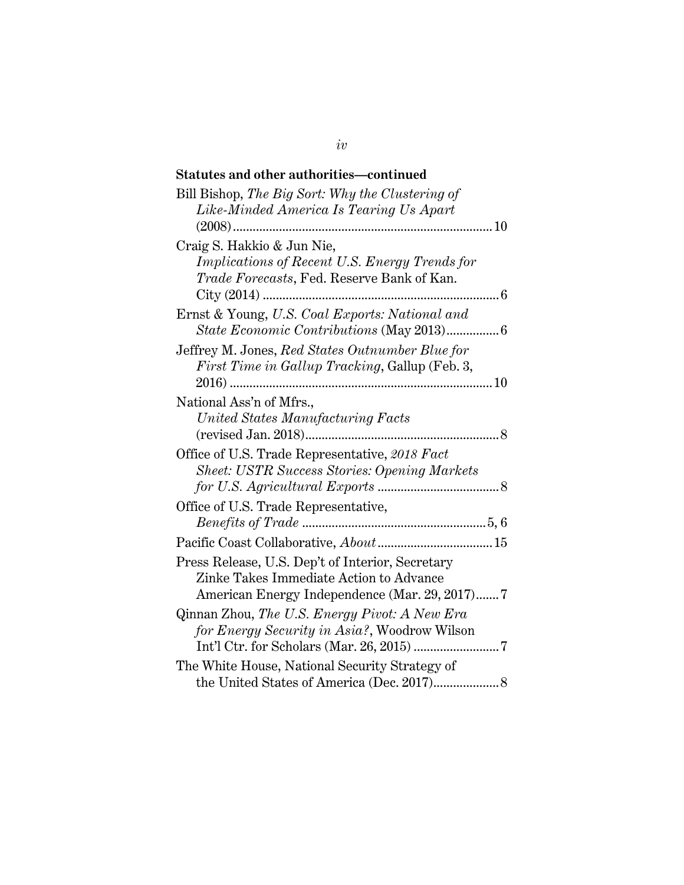## **Statutes and other authorities—continued**

| Bill Bishop, The Big Sort: Why the Clustering of              |
|---------------------------------------------------------------|
| Like-Minded America Is Tearing Us Apart                       |
|                                                               |
| Craig S. Hakkio & Jun Nie,                                    |
| Implications of Recent U.S. Energy Trends for                 |
| Trade Forecasts, Fed. Reserve Bank of Kan.                    |
|                                                               |
| Ernst & Young, U.S. Coal Exports: National and                |
|                                                               |
| Jeffrey M. Jones, Red States Outnumber Blue for               |
| <i>First Time in Gallup Tracking</i> , Gallup (Feb. 3,        |
|                                                               |
| National Ass'n of Mfrs.,<br>United States Manufacturing Facts |
|                                                               |
| Office of U.S. Trade Representative, 2018 Fact                |
| <b>Sheet: USTR Success Stories: Opening Markets</b>           |
|                                                               |
| Office of U.S. Trade Representative,                          |
|                                                               |
|                                                               |
| Press Release, U.S. Dep't of Interior, Secretary              |
| Zinke Takes Immediate Action to Advance                       |
| American Energy Independence (Mar. 29, 2017)7                 |
| Qinnan Zhou, The U.S. Energy Pivot: A New Era                 |
| for Energy Security in Asia?, Woodrow Wilson                  |
|                                                               |
| The White House, National Security Strategy of                |
|                                                               |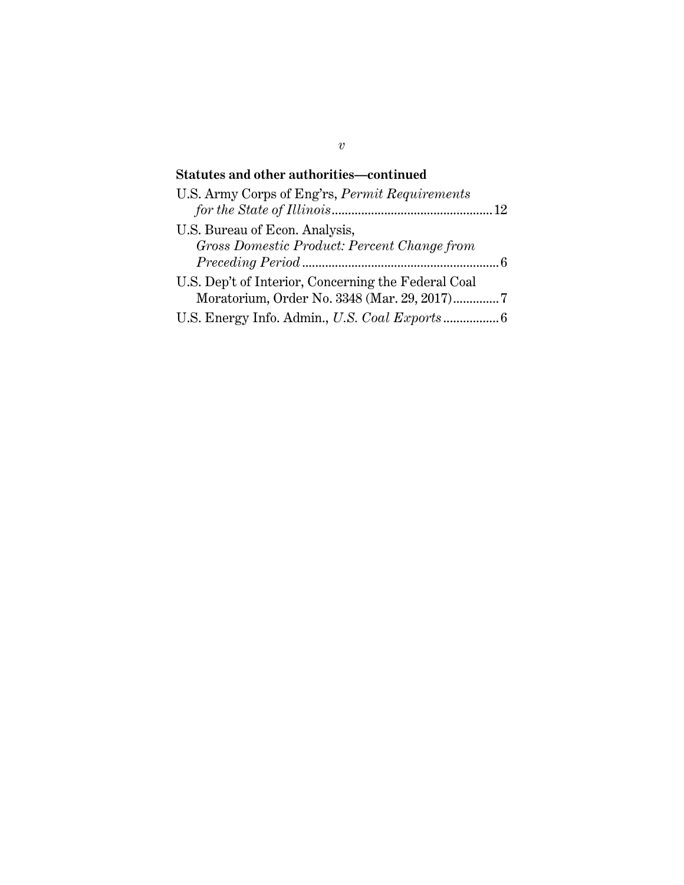## **Statutes and other authorities—continued**

| U.S. Army Corps of Eng'rs, <i>Permit Requirements</i> |  |
|-------------------------------------------------------|--|
|                                                       |  |
| U.S. Bureau of Econ. Analysis,                        |  |
| Gross Domestic Product: Percent Change from           |  |
|                                                       |  |
| U.S. Dep't of Interior, Concerning the Federal Coal   |  |
|                                                       |  |
|                                                       |  |

*v*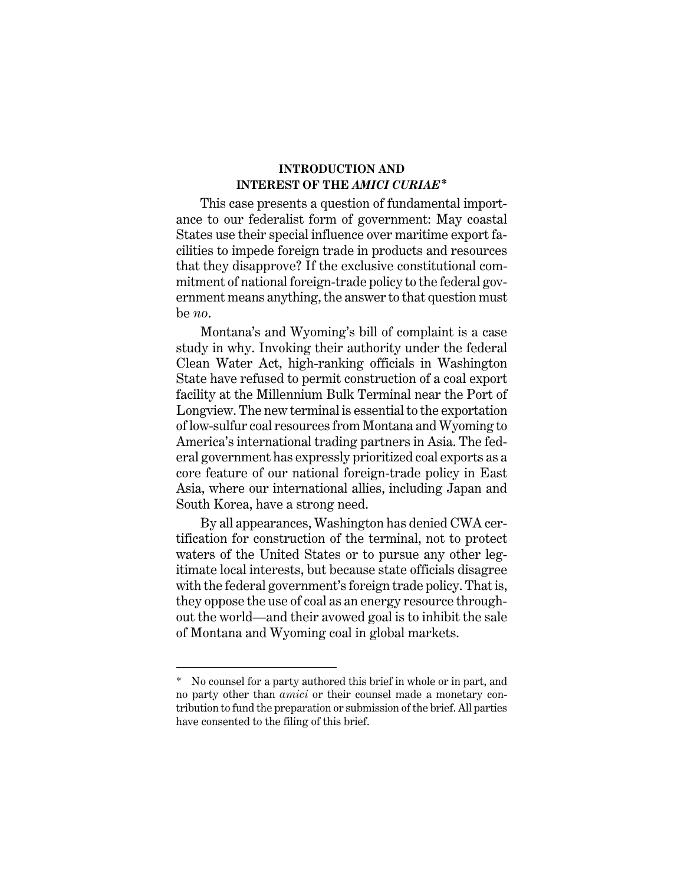### **INTRODUCTION AND INTEREST OF THE** *AMICI CURIAE***1\***

This case presents a question of fundamental importance to our federalist form of government: May coastal States use their special influence over maritime export facilities to impede foreign trade in products and resources that they disapprove? If the exclusive constitutional commitment of national foreign-trade policy to the federal government means anything, the answer to that question must be *no*.

Montana's and Wyoming's bill of complaint is a case study in why. Invoking their authority under the federal Clean Water Act, high-ranking officials in Washington State have refused to permit construction of a coal export facility at the Millennium Bulk Terminal near the Port of Longview. The new terminal is essential to the exportation of low-sulfur coal resources from Montana and Wyoming to America's international trading partners in Asia. The federal government has expressly prioritized coal exports as a core feature of our national foreign-trade policy in East Asia, where our international allies, including Japan and South Korea, have a strong need.

By all appearances, Washington has denied CWA certification for construction of the terminal, not to protect waters of the United States or to pursue any other legitimate local interests, but because state officials disagree with the federal government's foreign trade policy. That is, they oppose the use of coal as an energy resource throughout the world—and their avowed goal is to inhibit the sale of Montana and Wyoming coal in global markets.

<sup>\*1</sup> No counsel for a party authored this brief in whole or in part, and no party other than *amici* or their counsel made a monetary contribution to fund the preparation or submission of the brief. All parties have consented to the filing of this brief.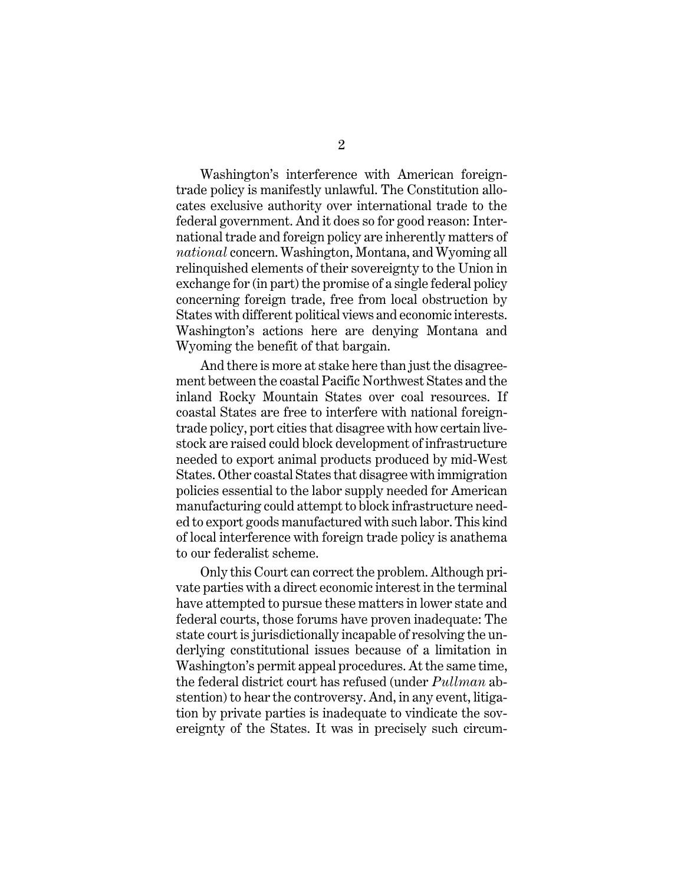Washington's interference with American foreigntrade policy is manifestly unlawful. The Constitution allocates exclusive authority over international trade to the federal government. And it does so for good reason: International trade and foreign policy are inherently matters of *national* concern. Washington, Montana, and Wyoming all relinquished elements of their sovereignty to the Union in exchange for (in part) the promise of a single federal policy concerning foreign trade, free from local obstruction by States with different political views and economic interests. Washington's actions here are denying Montana and Wyoming the benefit of that bargain.

And there is more at stake here than just the disagreement between the coastal Pacific Northwest States and the inland Rocky Mountain States over coal resources. If coastal States are free to interfere with national foreigntrade policy, port cities that disagree with how certain livestock are raised could block development of infrastructure needed to export animal products produced by mid-West States. Other coastal States that disagree with immigration policies essential to the labor supply needed for American manufacturing could attempt to block infrastructure needed to export goods manufactured with such labor. This kind of local interference with foreign trade policy is anathema to our federalist scheme.

Only this Court can correct the problem. Although private parties with a direct economic interest in the terminal have attempted to pursue these matters in lower state and federal courts, those forums have proven inadequate: The state court is jurisdictionally incapable of resolving the underlying constitutional issues because of a limitation in Washington's permit appeal procedures. At the same time, the federal district court has refused (under *Pullman* abstention) to hear the controversy. And, in any event, litigation by private parties is inadequate to vindicate the sovereignty of the States. It was in precisely such circum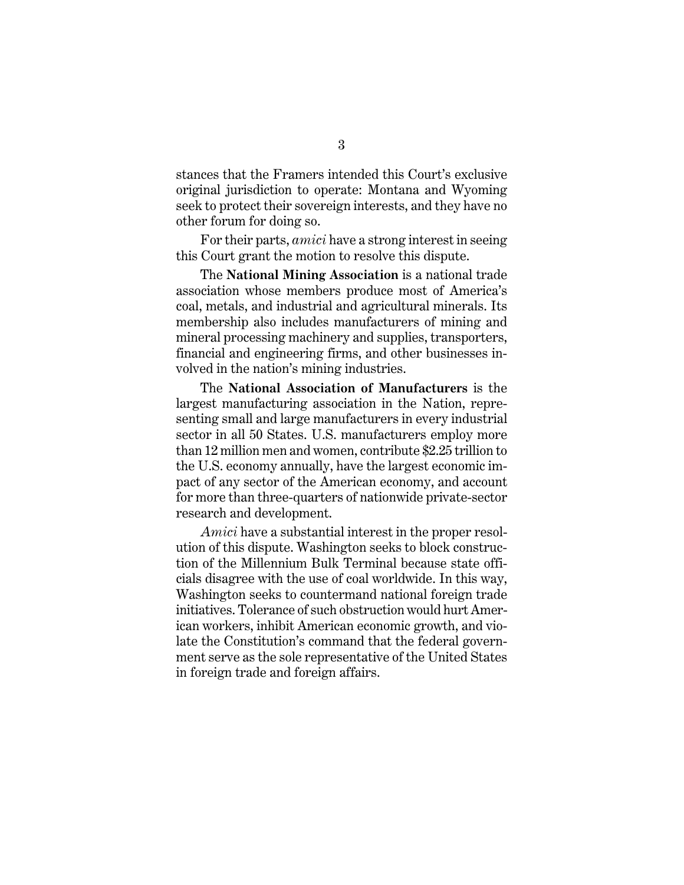stances that the Framers intended this Court's exclusive original jurisdiction to operate: Montana and Wyoming seek to protect their sovereign interests, and they have no other forum for doing so.

For their parts, *amici* have a strong interest in seeing this Court grant the motion to resolve this dispute.

The **National Mining Association** is a national trade association whose members produce most of America's coal, metals, and industrial and agricultural minerals. Its membership also includes manufacturers of mining and mineral processing machinery and supplies, transporters, financial and engineering firms, and other businesses involved in the nation's mining industries.

The **National Association of Manufacturers** is the largest manufacturing association in the Nation, representing small and large manufacturers in every industrial sector in all 50 States. U.S. manufacturers employ more than 12 million men and women, contribute \$2.25 trillion to the U.S. economy annually, have the largest economic impact of any sector of the American economy, and account for more than three-quarters of nationwide private-sector research and development.

*Amici* have a substantial interest in the proper resolution of this dispute. Washington seeks to block construction of the Millennium Bulk Terminal because state officials disagree with the use of coal worldwide. In this way, Washington seeks to countermand national foreign trade initiatives. Tolerance of such obstruction would hurt American workers, inhibit American economic growth, and violate the Constitution's command that the federal government serve as the sole representative of the United States in foreign trade and foreign affairs.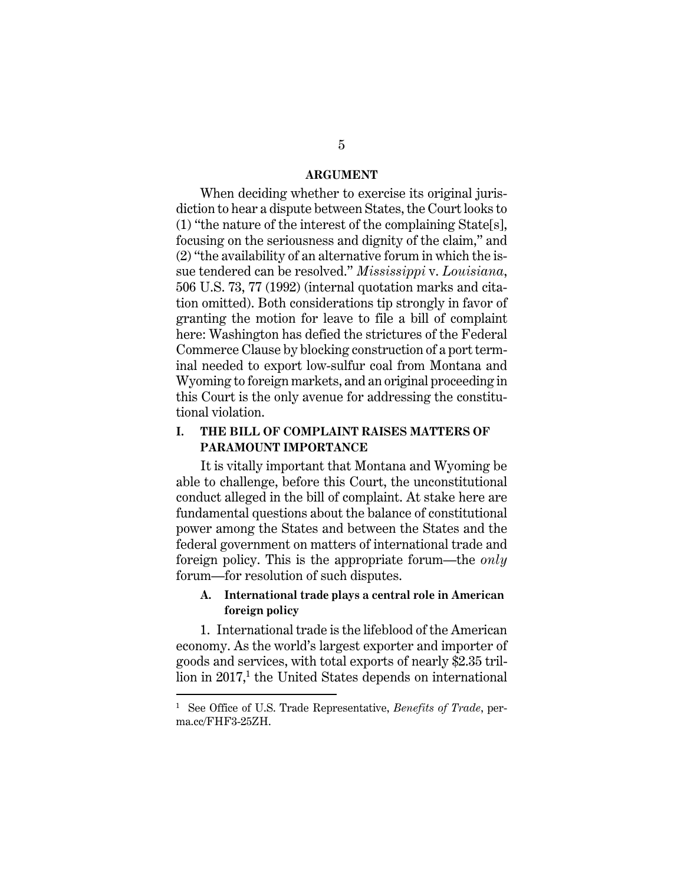#### **ARGUMENT**

When deciding whether to exercise its original jurisdiction to hear a dispute between States, the Court looks to (1) "the nature of the interest of the complaining State[s], focusing on the seriousness and dignity of the claim," and (2) "the availability of an alternative forum in which the issue tendered can be resolved." *Mississippi* v. *Louisiana*, 506 U.S. 73, 77 (1992) (internal quotation marks and citation omitted). Both considerations tip strongly in favor of granting the motion for leave to file a bill of complaint here: Washington has defied the strictures of the Federal Commerce Clause by blocking construction of a port terminal needed to export low-sulfur coal from Montana and Wyoming to foreign markets, and an original proceeding in this Court is the only avenue for addressing the constitutional violation.

### **I. THE BILL OF COMPLAINT RAISES MATTERS OF PARAMOUNT IMPORTANCE**

It is vitally important that Montana and Wyoming be able to challenge, before this Court, the unconstitutional conduct alleged in the bill of complaint. At stake here are fundamental questions about the balance of constitutional power among the States and between the States and the federal government on matters of international trade and foreign policy. This is the appropriate forum—the *only* forum—for resolution of such disputes.

#### **A. International trade plays a central role in American foreign policy**

1. International trade is the lifeblood of the American economy. As the world's largest exporter and importer of goods and services, with total exports of nearly \$2.35 trillion in 2017,<sup>1</sup> the United States depends on international

<sup>1</sup> See Office of U.S. Trade Representative, *Benefits of Trade*, perma.cc/FHF3-25ZH.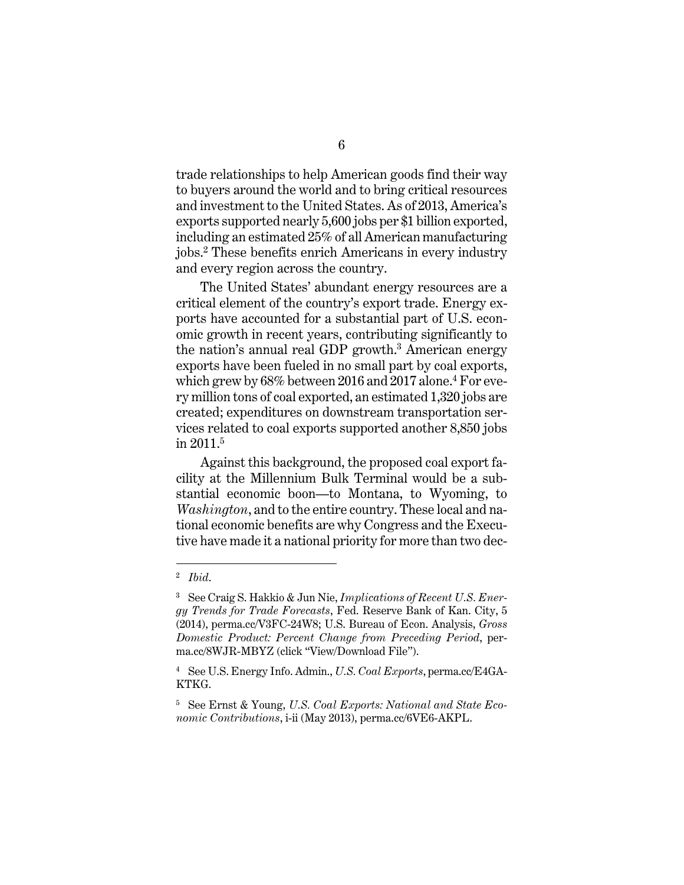trade relationships to help American goods find their way to buyers around the world and to bring critical resources and investment to the United States. As of 2013, America's exports supported nearly 5,600 jobs per \$1 billion exported, including an estimated 25% of all American manufacturing jobs.2 These benefits enrich Americans in every industry and every region across the country.

The United States' abundant energy resources are a critical element of the country's export trade. Energy exports have accounted for a substantial part of U.S. economic growth in recent years, contributing significantly to the nation's annual real GDP growth.<sup>3</sup> American energy exports have been fueled in no small part by coal exports, which grew by 68% between 2016 and 2017 alone.4 For every million tons of coal exported, an estimated 1,320 jobs are created; expenditures on downstream transportation services related to coal exports supported another 8,850 jobs in 2011.5

Against this background, the proposed coal export facility at the Millennium Bulk Terminal would be a substantial economic boon—to Montana, to Wyoming, to *Washington*, and to the entire country. These local and national economic benefits are why Congress and the Executive have made it a national priority for more than two dec-

<sup>2</sup> *Ibid*.

<sup>3</sup> See Craig S. Hakkio & Jun Nie, *Implications of Recent U.S. Energy Trends for Trade Forecasts*, Fed. Reserve Bank of Kan. City, 5 (2014), perma.cc/V3FC-24W8; U.S. Bureau of Econ. Analysis, *Gross Domestic Product: Percent Change from Preceding Period*, perma.cc/8WJR-MBYZ (click "View/Download File").

<sup>4</sup> See U.S. Energy Info. Admin., *U.S. Coal Exports*, perma.cc/E4GA-KTKG.

<sup>5</sup> See Ernst & Young, *U.S. Coal Exports: National and State Economic Contributions*, i-ii (May 2013), perma.cc/6VE6-AKPL.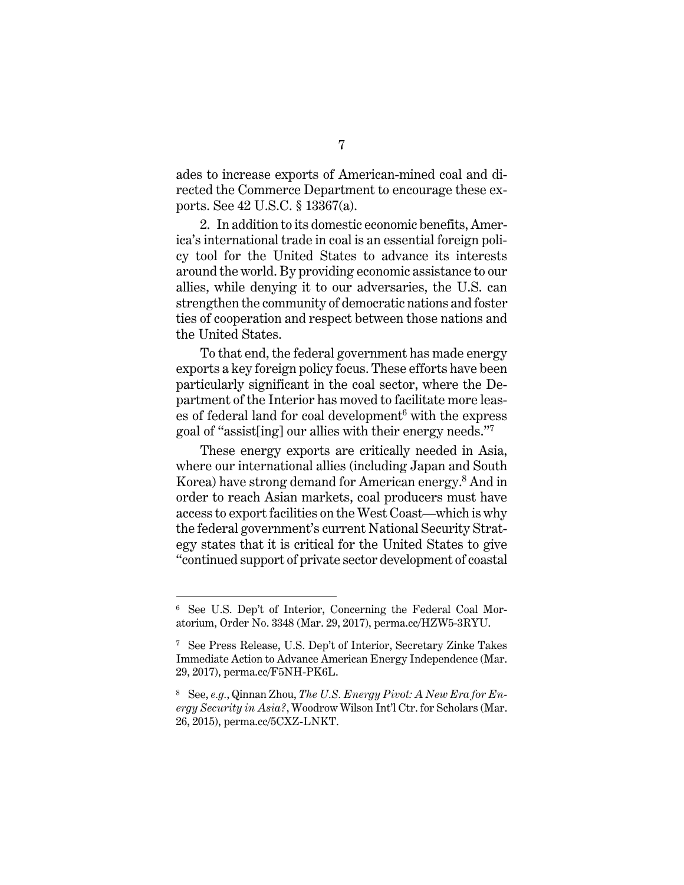ades to increase exports of American-mined coal and directed the Commerce Department to encourage these exports. See 42 U.S.C. § 13367(a).

2. In addition to its domestic economic benefits, America's international trade in coal is an essential foreign policy tool for the United States to advance its interests around the world. By providing economic assistance to our allies, while denying it to our adversaries, the U.S. can strengthen the community of democratic nations and foster ties of cooperation and respect between those nations and the United States.

To that end, the federal government has made energy exports a key foreign policy focus. These efforts have been particularly significant in the coal sector, where the Department of the Interior has moved to facilitate more leases of federal land for coal development<sup>6</sup> with the express goal of "assist[ing] our allies with their energy needs."7

These energy exports are critically needed in Asia, where our international allies (including Japan and South Korea) have strong demand for American energy.8 And in order to reach Asian markets, coal producers must have access to export facilities on the West Coast—which is why the federal government's current National Security Strategy states that it is critical for the United States to give "continued support of private sector development of coastal

<sup>6</sup> See U.S. Dep't of Interior, Concerning the Federal Coal Moratorium, Order No. 3348 (Mar. 29, 2017), perma.cc/HZW5-3RYU.

<sup>7</sup> See Press Release, U.S. Dep't of Interior, Secretary Zinke Takes Immediate Action to Advance American Energy Independence (Mar. 29, 2017), perma.cc/F5NH-PK6L.

<sup>8</sup> See, *e.g.*, Qinnan Zhou, *The U.S. Energy Pivot: A New Era for Energy Security in Asia?*, Woodrow Wilson Int'l Ctr. for Scholars (Mar. 26, 2015), perma.cc/5CXZ-LNKT.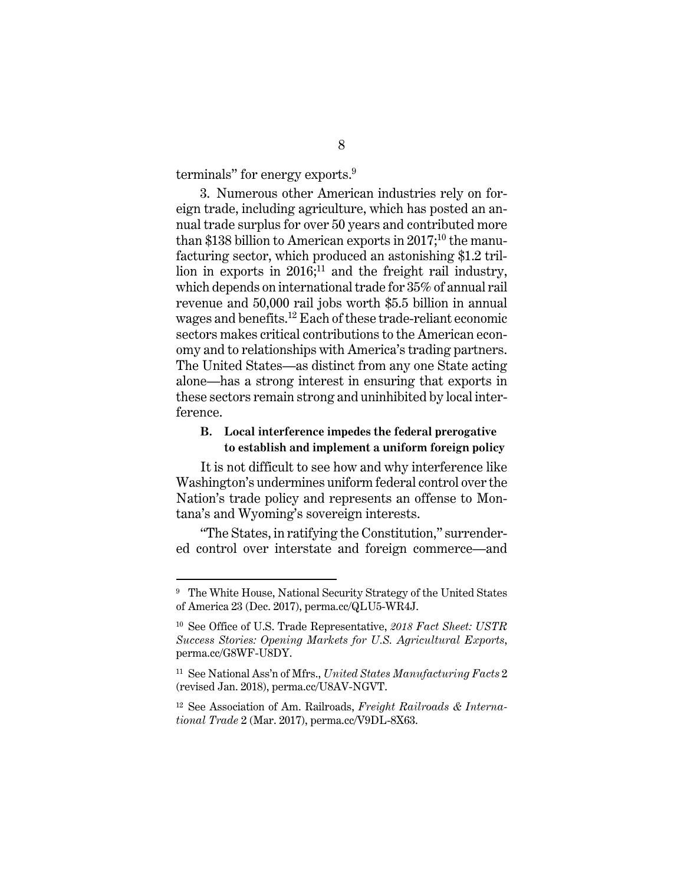terminals" for energy exports.<sup>9</sup>

3. Numerous other American industries rely on foreign trade, including agriculture, which has posted an annual trade surplus for over 50 years and contributed more than \$138 billion to American exports in  $2017$ ;<sup>10</sup> the manufacturing sector, which produced an astonishing \$1.2 trillion in exports in  $2016$ <sup>11</sup>, and the freight rail industry, which depends on international trade for 35% of annual rail revenue and 50,000 rail jobs worth \$5.5 billion in annual wages and benefits.12 Each of these trade-reliant economic sectors makes critical contributions to the American economy and to relationships with America's trading partners. The United States—as distinct from any one State acting alone—has a strong interest in ensuring that exports in these sectors remain strong and uninhibited by local interference.

### **B. Local interference impedes the federal prerogative to establish and implement a uniform foreign policy**

It is not difficult to see how and why interference like Washington's undermines uniform federal control over the Nation's trade policy and represents an offense to Montana's and Wyoming's sovereign interests.

"The States, in ratifying the Constitution," surrendered control over interstate and foreign commerce—and

 $\overline{a}$ 

<sup>&</sup>lt;sup>9</sup> The White House, National Security Strategy of the United States of America 23 (Dec. 2017), perma.cc/QLU5-WR4J.

<sup>10</sup> See Office of U.S. Trade Representative, *2018 Fact Sheet: USTR Success Stories: Opening Markets for U.S. Agricultural Exports*, perma.cc/G8WF-U8DY.

<sup>11</sup> See National Ass'n of Mfrs., *United States Manufacturing Facts* 2 (revised Jan. 2018), perma.cc/U8AV-NGVT.

<sup>12</sup> See Association of Am. Railroads, *Freight Railroads & International Trade* 2 (Mar. 2017), perma.cc/V9DL-8X63.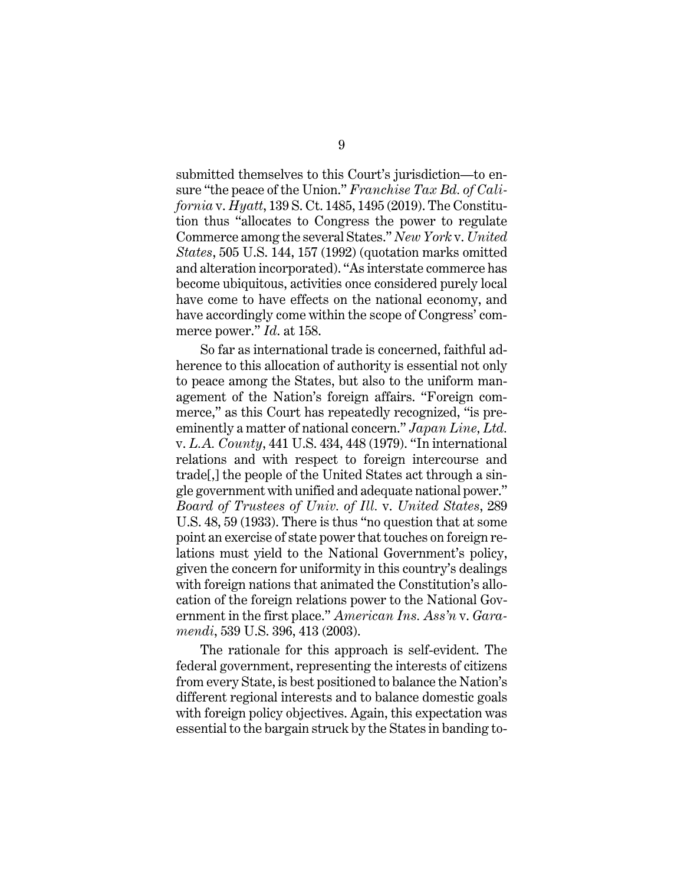submitted themselves to this Court's jurisdiction—to ensure "the peace of the Union." *Franchise Tax Bd. of California* v. *Hyatt*, 139 S. Ct. 1485, 1495 (2019). The Constitution thus "allocates to Congress the power to regulate Commerce among the several States." *New York* v. *United States*, 505 U.S. 144, 157 (1992) (quotation marks omitted and alteration incorporated). "As interstate commerce has become ubiquitous, activities once considered purely local have come to have effects on the national economy, and have accordingly come within the scope of Congress' commerce power." *Id*. at 158.

So far as international trade is concerned, faithful adherence to this allocation of authority is essential not only to peace among the States, but also to the uniform management of the Nation's foreign affairs. "Foreign commerce," as this Court has repeatedly recognized, "is preeminently a matter of national concern." *Japan Line, Ltd.*  v. *L.A. County*, 441 U.S. 434, 448 (1979). "In international relations and with respect to foreign intercourse and trade[,] the people of the United States act through a single government with unified and adequate national power." *Board of Trustees of Univ. of Ill.* v. *United States*, 289 U.S. 48, 59 (1933). There is thus "no question that at some point an exercise of state power that touches on foreign relations must yield to the National Government's policy, given the concern for uniformity in this country's dealings with foreign nations that animated the Constitution's allocation of the foreign relations power to the National Government in the first place." *American Ins. Ass'n* v. *Garamendi*, 539 U.S. 396, 413 (2003).

The rationale for this approach is self-evident. The federal government, representing the interests of citizens from every State, is best positioned to balance the Nation's different regional interests and to balance domestic goals with foreign policy objectives. Again, this expectation was essential to the bargain struck by the States in banding to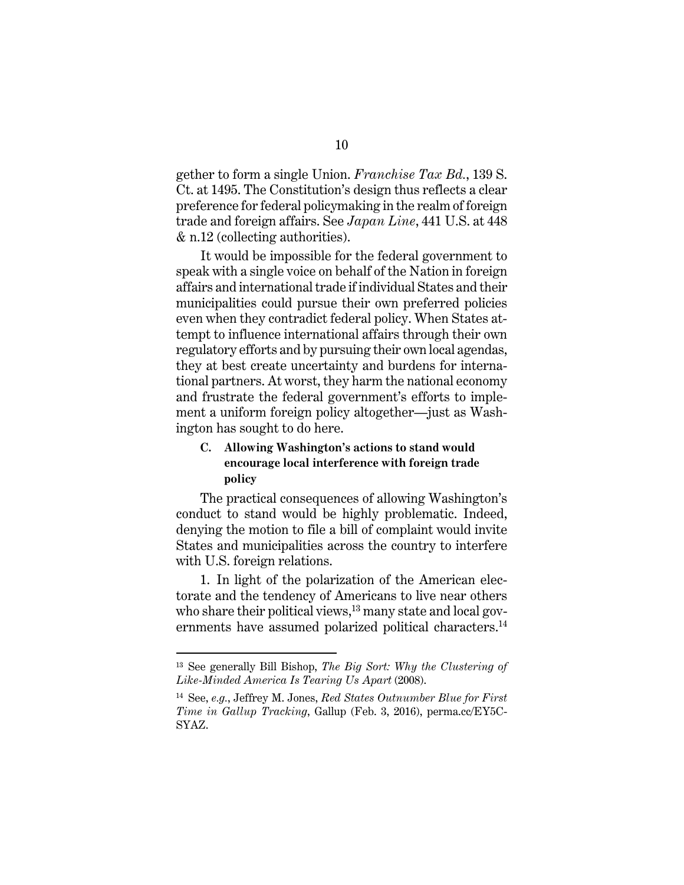gether to form a single Union. *Franchise Tax Bd.*, 139 S. Ct. at 1495. The Constitution's design thus reflects a clear preference for federal policymaking in the realm of foreign trade and foreign affairs. See *Japan Line*, 441 U.S. at 448 & n.12 (collecting authorities).

It would be impossible for the federal government to speak with a single voice on behalf of the Nation in foreign affairs and international trade if individual States and their municipalities could pursue their own preferred policies even when they contradict federal policy. When States attempt to influence international affairs through their own regulatory efforts and by pursuing their own local agendas, they at best create uncertainty and burdens for international partners. At worst, they harm the national economy and frustrate the federal government's efforts to implement a uniform foreign policy altogether—just as Washington has sought to do here.

### **C. Allowing Washington's actions to stand would encourage local interference with foreign trade policy**

The practical consequences of allowing Washington's conduct to stand would be highly problematic. Indeed, denying the motion to file a bill of complaint would invite States and municipalities across the country to interfere with U.S. foreign relations.

1. In light of the polarization of the American electorate and the tendency of Americans to live near others who share their political views,<sup>13</sup> many state and local governments have assumed polarized political characters.<sup>14</sup>

 $\overline{a}$ 

<sup>13</sup> See generally Bill Bishop, *The Big Sort: Why the Clustering of Like-Minded America Is Tearing Us Apart* (2008).

<sup>14</sup> See, *e.g.*, Jeffrey M. Jones, *Red States Outnumber Blue for First Time in Gallup Tracking*, Gallup (Feb. 3, 2016), perma.cc/EY5C-SYAZ.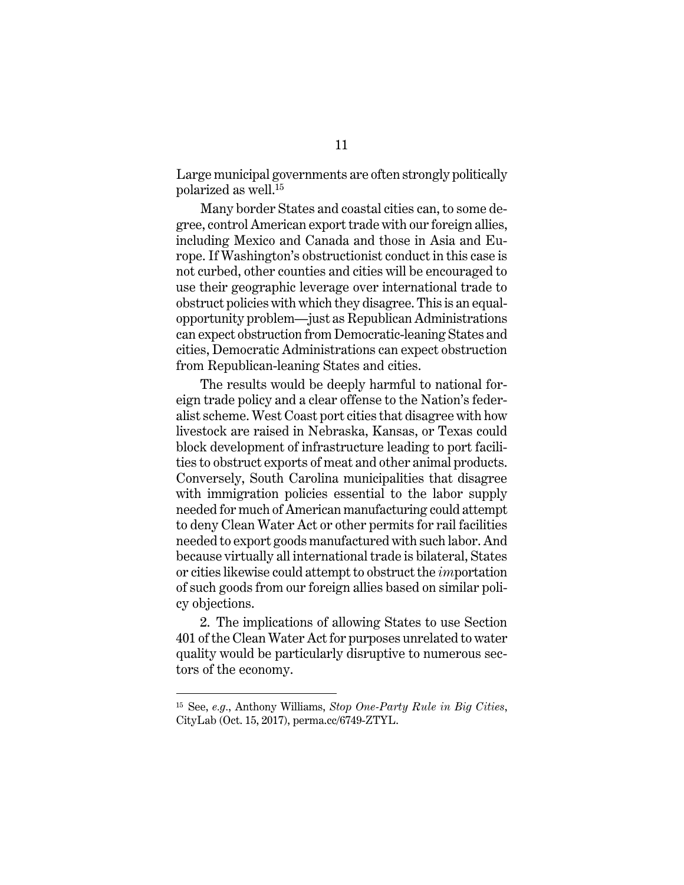Large municipal governments are often strongly politically polarized as well.15

Many border States and coastal cities can, to some degree, control American export trade with our foreign allies, including Mexico and Canada and those in Asia and Europe. If Washington's obstructionist conduct in this case is not curbed, other counties and cities will be encouraged to use their geographic leverage over international trade to obstruct policies with which they disagree. This is an equalopportunity problem—just as Republican Administrations can expect obstruction from Democratic-leaning States and cities, Democratic Administrations can expect obstruction from Republican-leaning States and cities.

The results would be deeply harmful to national foreign trade policy and a clear offense to the Nation's federalist scheme. West Coast port cities that disagree with how livestock are raised in Nebraska, Kansas, or Texas could block development of infrastructure leading to port facilities to obstruct exports of meat and other animal products. Conversely, South Carolina municipalities that disagree with immigration policies essential to the labor supply needed for much of American manufacturing could attempt to deny Clean Water Act or other permits for rail facilities needed to export goods manufactured with such labor. And because virtually all international trade is bilateral, States or cities likewise could attempt to obstruct the *im*portation of such goods from our foreign allies based on similar policy objections.

2. The implications of allowing States to use Section 401 of the Clean Water Act for purposes unrelated to water quality would be particularly disruptive to numerous sectors of the economy.

 $\overline{a}$ 

<sup>15</sup> See, *e.g.*, Anthony Williams, *Stop One-Party Rule in Big Cities*, CityLab (Oct. 15, 2017), perma.cc/6749-ZTYL.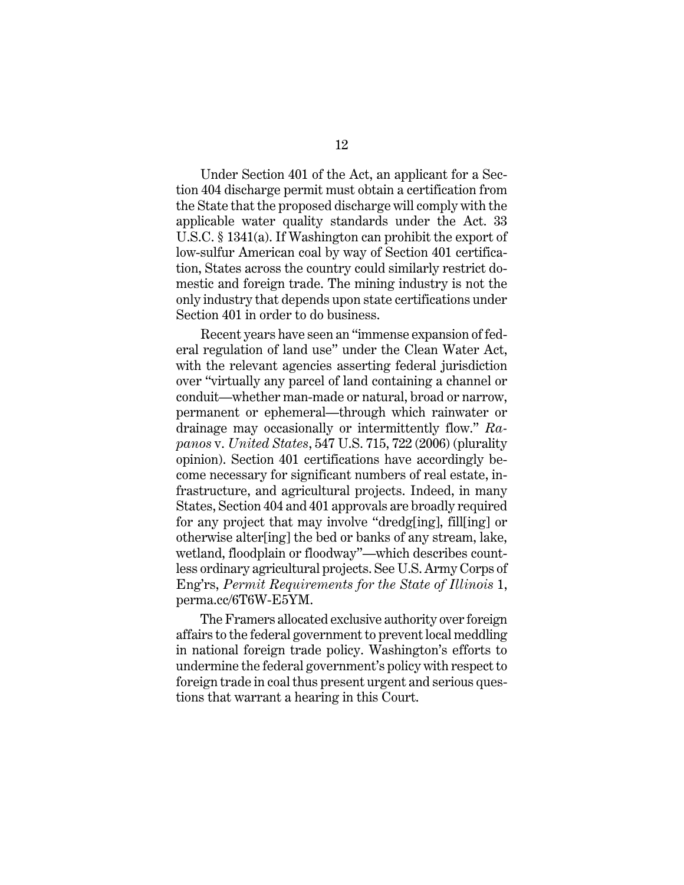Under Section 401 of the Act, an applicant for a Section 404 discharge permit must obtain a certification from the State that the proposed discharge will comply with the applicable water quality standards under the Act. 33 U.S.C. § 1341(a). If Washington can prohibit the export of low-sulfur American coal by way of Section 401 certification, States across the country could similarly restrict domestic and foreign trade. The mining industry is not the only industry that depends upon state certifications under Section 401 in order to do business.

Recent years have seen an "immense expansion of federal regulation of land use" under the Clean Water Act, with the relevant agencies asserting federal jurisdiction over "virtually any parcel of land containing a channel or conduit—whether man-made or natural, broad or narrow, permanent or ephemeral—through which rainwater or drainage may occasionally or intermittently flow." *Rapanos* v. *United States*, 547 U.S. 715, 722 (2006) (plurality opinion). Section 401 certifications have accordingly become necessary for significant numbers of real estate, infrastructure, and agricultural projects. Indeed, in many States, Section 404 and 401 approvals are broadly required for any project that may involve "dredg[ing], fill[ing] or otherwise alter[ing] the bed or banks of any stream, lake, wetland, floodplain or floodway"—which describes countless ordinary agricultural projects. See U.S. Army Corps of Eng'rs, *Permit Requirements for the State of Illinois* 1, perma.cc/6T6W-E5YM.

The Framers allocated exclusive authority over foreign affairs to the federal government to prevent local meddling in national foreign trade policy. Washington's efforts to undermine the federal government's policy with respect to foreign trade in coal thus present urgent and serious questions that warrant a hearing in this Court.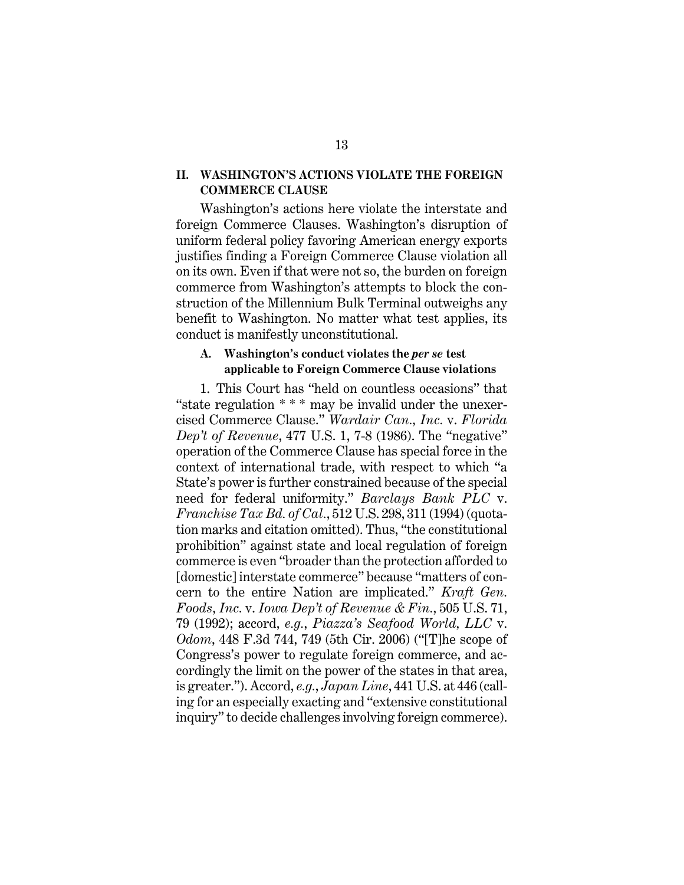#### **II. WASHINGTON'S ACTIONS VIOLATE THE FOREIGN COMMERCE CLAUSE**

Washington's actions here violate the interstate and foreign Commerce Clauses. Washington's disruption of uniform federal policy favoring American energy exports justifies finding a Foreign Commerce Clause violation all on its own. Even if that were not so, the burden on foreign commerce from Washington's attempts to block the construction of the Millennium Bulk Terminal outweighs any benefit to Washington. No matter what test applies, its conduct is manifestly unconstitutional.

#### **A. Washington's conduct violates the** *per se* **test applicable to Foreign Commerce Clause violations**

1. This Court has "held on countless occasions" that "state regulation \* \* \* may be invalid under the unexercised Commerce Clause." *Wardair Can., Inc.* v. *Florida Dep't of Revenue*, 477 U.S. 1, 7-8 (1986). The "negative" operation of the Commerce Clause has special force in the context of international trade, with respect to which "a State's power is further constrained because of the special need for federal uniformity." *Barclays Bank PLC* v. *Franchise Tax Bd. of Cal.*, 512 U.S. 298, 311 (1994) (quotation marks and citation omitted). Thus, "the constitutional prohibition" against state and local regulation of foreign commerce is even "broader than the protection afforded to [domestic] interstate commerce" because "matters of concern to the entire Nation are implicated." *Kraft Gen. Foods, Inc.* v. *Iowa Dep't of Revenue & Fin.*, 505 U.S. 71, 79 (1992); accord, *e.g.*, *Piazza's Seafood World, LLC* v. *Odom*, 448 F.3d 744, 749 (5th Cir. 2006) ("[T]he scope of Congress's power to regulate foreign commerce, and accordingly the limit on the power of the states in that area, is greater."). Accord, *e.g.*, *Japan Line*, 441 U.S. at 446 (calling for an especially exacting and "extensive constitutional inquiry" to decide challenges involving foreign commerce).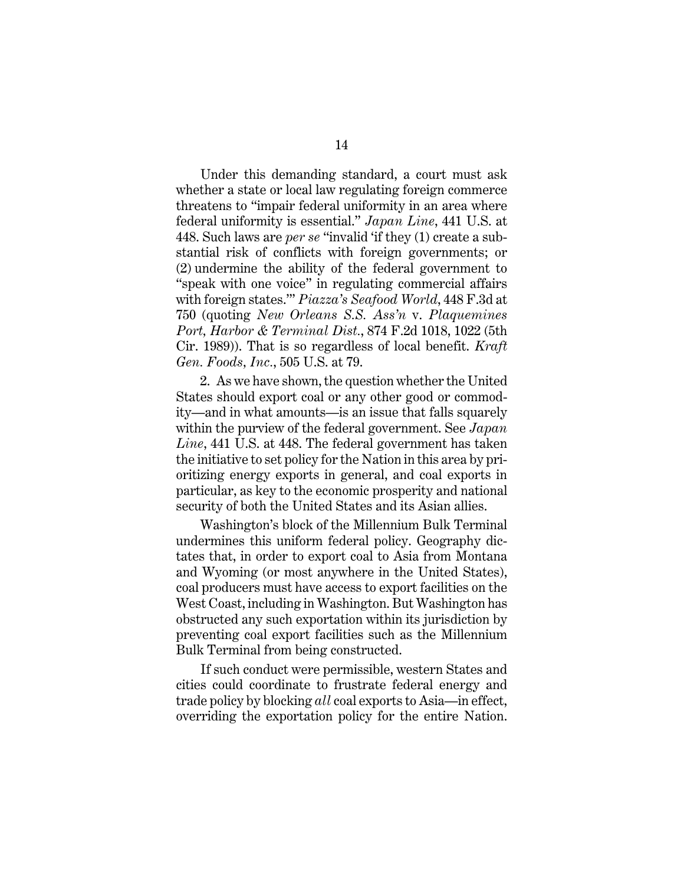Under this demanding standard, a court must ask whether a state or local law regulating foreign commerce threatens to "impair federal uniformity in an area where federal uniformity is essential." *Japan Line*, 441 U.S. at 448. Such laws are *per se* "invalid 'if they (1) create a substantial risk of conflicts with foreign governments; or (2) undermine the ability of the federal government to "speak with one voice" in regulating commercial affairs with foreign states.'" *Piazza's Seafood World*, 448 F.3d at 750 (quoting *New Orleans S.S. Ass'n* v. *Plaquemines Port, Harbor & Terminal Dist.*, 874 F.2d 1018, 1022 (5th Cir. 1989)). That is so regardless of local benefit. *Kraft Gen. Foods, Inc.*, 505 U.S. at 79.

2. As we have shown, the question whether the United States should export coal or any other good or commodity—and in what amounts—is an issue that falls squarely within the purview of the federal government. See *Japan Line*, 441 U.S. at 448. The federal government has taken the initiative to set policy for the Nation in this area by prioritizing energy exports in general, and coal exports in particular, as key to the economic prosperity and national security of both the United States and its Asian allies.

Washington's block of the Millennium Bulk Terminal undermines this uniform federal policy. Geography dictates that, in order to export coal to Asia from Montana and Wyoming (or most anywhere in the United States), coal producers must have access to export facilities on the West Coast, including in Washington. But Washington has obstructed any such exportation within its jurisdiction by preventing coal export facilities such as the Millennium Bulk Terminal from being constructed.

If such conduct were permissible, western States and cities could coordinate to frustrate federal energy and trade policy by blocking *all* coal exports to Asia—in effect, overriding the exportation policy for the entire Nation.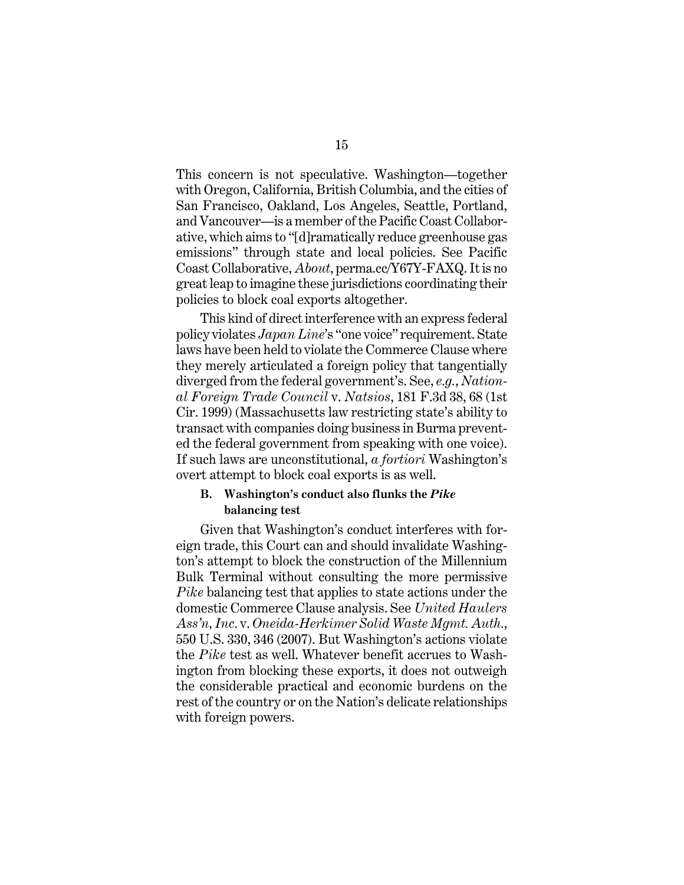This concern is not speculative. Washington—together with Oregon, California, British Columbia, and the cities of San Francisco, Oakland, Los Angeles, Seattle, Portland, and Vancouver—is a member of the Pacific Coast Collaborative, which aims to "[d]ramatically reduce greenhouse gas emissions" through state and local policies. See Pacific Coast Collaborative, *About*, perma.cc/Y67Y-FAXQ. It is no great leap to imagine these jurisdictions coordinating their policies to block coal exports altogether.

This kind of direct interference with an express federal policy violates *Japan Line*'s "one voice" requirement. State laws have been held to violate the Commerce Clause where they merely articulated a foreign policy that tangentially diverged from the federal government's. See, *e.g.*, *National Foreign Trade Council* v. *Natsios*, 181 F.3d 38, 68 (1st Cir. 1999) (Massachusetts law restricting state's ability to transact with companies doing business in Burma prevented the federal government from speaking with one voice). If such laws are unconstitutional, *a fortiori* Washington's overt attempt to block coal exports is as well.

#### **B. Washington's conduct also flunks the** *Pike* **balancing test**

Given that Washington's conduct interferes with foreign trade, this Court can and should invalidate Washington's attempt to block the construction of the Millennium Bulk Terminal without consulting the more permissive *Pike* balancing test that applies to state actions under the domestic Commerce Clause analysis. See *United Haulers Ass'n, Inc.* v. *Oneida-Herkimer Solid Waste Mgmt. Auth.*, 550 U.S. 330, 346 (2007). But Washington's actions violate the *Pike* test as well. Whatever benefit accrues to Washington from blocking these exports, it does not outweigh the considerable practical and economic burdens on the rest of the country or on the Nation's delicate relationships with foreign powers.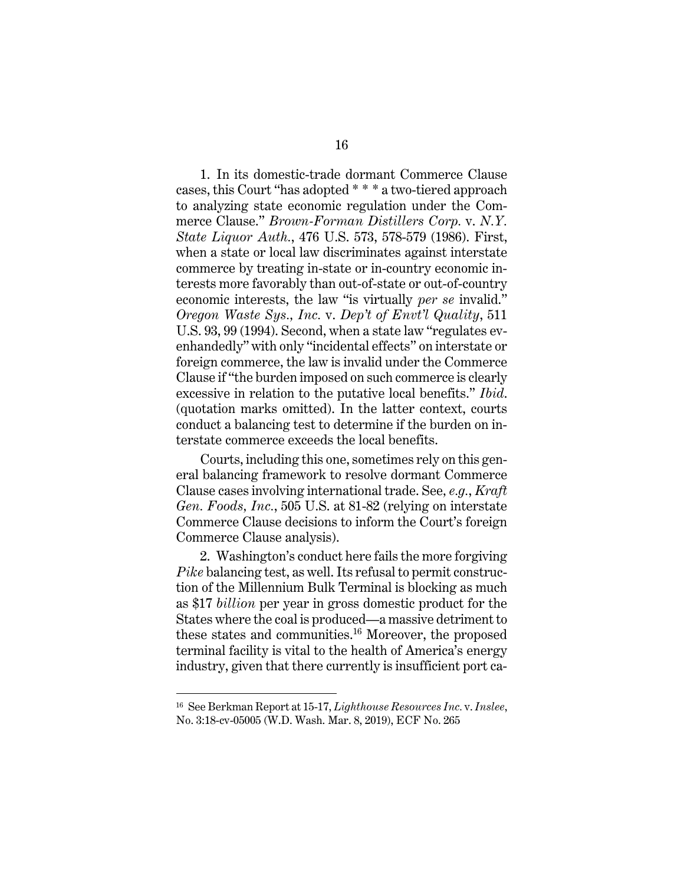1. In its domestic-trade dormant Commerce Clause cases, this Court "has adopted \* \* \* a two-tiered approach to analyzing state economic regulation under the Commerce Clause." *Brown-Forman Distillers Corp.* v. *N.Y. State Liquor Auth.*, 476 U.S. 573, 578-579 (1986). First, when a state or local law discriminates against interstate commerce by treating in-state or in-country economic interests more favorably than out-of-state or out-of-country economic interests, the law "is virtually *per se* invalid." *Oregon Waste Sys., Inc.* v. *Dep't of Envt'l Quality*, 511 U.S. 93, 99 (1994). Second, when a state law "regulates evenhandedly" with only "incidental effects" on interstate or foreign commerce, the law is invalid under the Commerce Clause if "the burden imposed on such commerce is clearly excessive in relation to the putative local benefits." *Ibid*. (quotation marks omitted). In the latter context, courts conduct a balancing test to determine if the burden on interstate commerce exceeds the local benefits.

Courts, including this one, sometimes rely on this general balancing framework to resolve dormant Commerce Clause cases involving international trade. See*, e.g.*, *Kraft Gen. Foods, Inc.*, 505 U.S. at 81-82 (relying on interstate Commerce Clause decisions to inform the Court's foreign Commerce Clause analysis).

2. Washington's conduct here fails the more forgiving *Pike* balancing test, as well. Its refusal to permit construction of the Millennium Bulk Terminal is blocking as much as \$17 *billion* per year in gross domestic product for the States where the coal is produced—a massive detriment to these states and communities.16 Moreover, the proposed terminal facility is vital to the health of America's energy industry, given that there currently is insufficient port ca-

16 See Berkman Report at 15-17, *Lighthouse Resources Inc.* v. *Inslee*, No. 3:18-cv-05005 (W.D. Wash. Mar. 8, 2019), ECF No. 265

 $\overline{a}$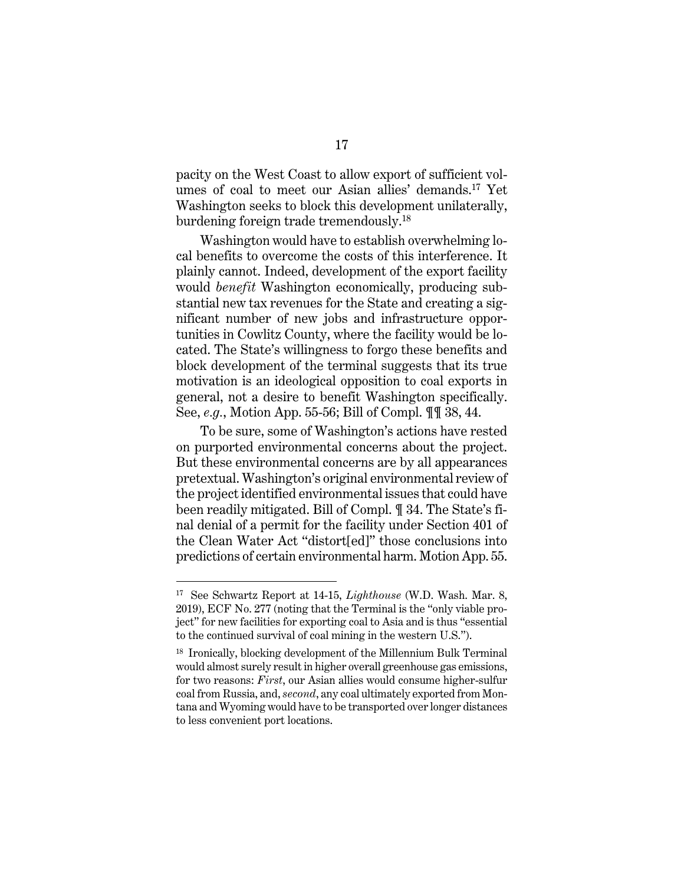pacity on the West Coast to allow export of sufficient volumes of coal to meet our Asian allies' demands.17 Yet Washington seeks to block this development unilaterally, burdening foreign trade tremendously.18

Washington would have to establish overwhelming local benefits to overcome the costs of this interference. It plainly cannot. Indeed, development of the export facility would *benefit* Washington economically, producing substantial new tax revenues for the State and creating a significant number of new jobs and infrastructure opportunities in Cowlitz County, where the facility would be located. The State's willingness to forgo these benefits and block development of the terminal suggests that its true motivation is an ideological opposition to coal exports in general, not a desire to benefit Washington specifically. See, *e.g.*, Motion App. 55-56; Bill of Compl. ¶¶ 38, 44.

To be sure, some of Washington's actions have rested on purported environmental concerns about the project. But these environmental concerns are by all appearances pretextual. Washington's original environmental review of the project identified environmental issues that could have been readily mitigated. Bill of Compl. ¶ 34. The State's final denial of a permit for the facility under Section 401 of the Clean Water Act "distort[ed]" those conclusions into predictions of certain environmental harm. Motion App. 55.

<sup>17</sup> See Schwartz Report at 14-15, *Lighthouse* (W.D. Wash. Mar. 8, 2019), ECF No. 277 (noting that the Terminal is the "only viable project" for new facilities for exporting coal to Asia and is thus "essential to the continued survival of coal mining in the western U.S.").

<sup>18</sup> Ironically, blocking development of the Millennium Bulk Terminal would almost surely result in higher overall greenhouse gas emissions, for two reasons: *First*, our Asian allies would consume higher-sulfur coal from Russia, and, *second*, any coal ultimately exported from Montana and Wyoming would have to be transported over longer distances to less convenient port locations.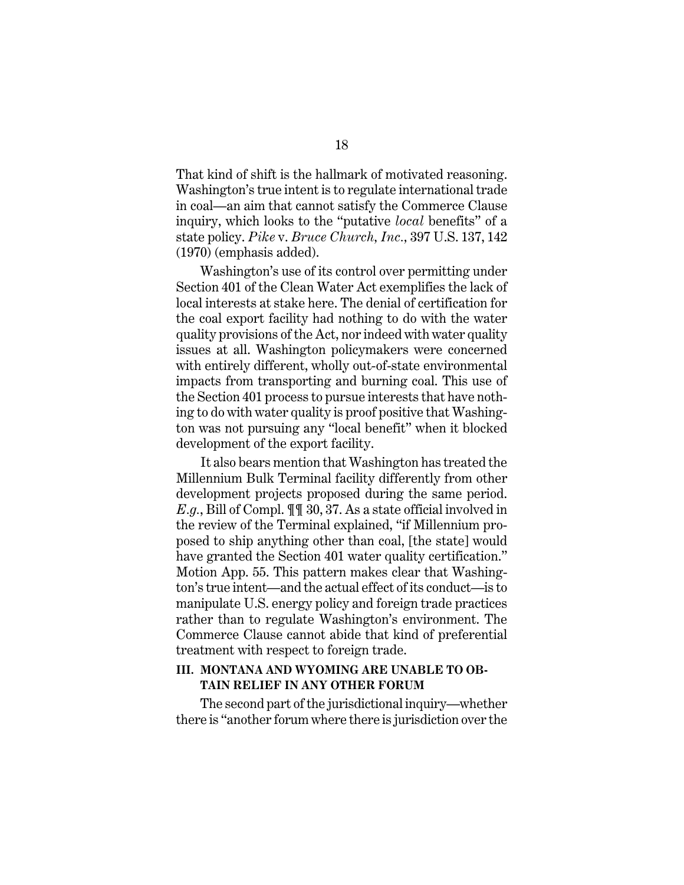That kind of shift is the hallmark of motivated reasoning. Washington's true intent is to regulate international trade in coal—an aim that cannot satisfy the Commerce Clause inquiry, which looks to the "putative *local* benefits" of a state policy. *Pike* v. *Bruce Church, Inc.,* 397 U.S. 137, 142 (1970) (emphasis added).

Washington's use of its control over permitting under Section 401 of the Clean Water Act exemplifies the lack of local interests at stake here. The denial of certification for the coal export facility had nothing to do with the water quality provisions of the Act, nor indeed with water quality issues at all. Washington policymakers were concerned with entirely different, wholly out-of-state environmental impacts from transporting and burning coal. This use of the Section 401 process to pursue interests that have nothing to do with water quality is proof positive that Washington was not pursuing any "local benefit" when it blocked development of the export facility.

It also bears mention that Washington has treated the Millennium Bulk Terminal facility differently from other development projects proposed during the same period. *E.g.*, Bill of Compl. ¶¶ 30, 37. As a state official involved in the review of the Terminal explained, "if Millennium proposed to ship anything other than coal, [the state] would have granted the Section 401 water quality certification." Motion App. 55. This pattern makes clear that Washington's true intent—and the actual effect of its conduct—is to manipulate U.S. energy policy and foreign trade practices rather than to regulate Washington's environment. The Commerce Clause cannot abide that kind of preferential treatment with respect to foreign trade.

### **III. MONTANA AND WYOMING ARE UNABLE TO OB-TAIN RELIEF IN ANY OTHER FORUM**

The second part of the jurisdictional inquiry—whether there is "another forum where there is jurisdiction over the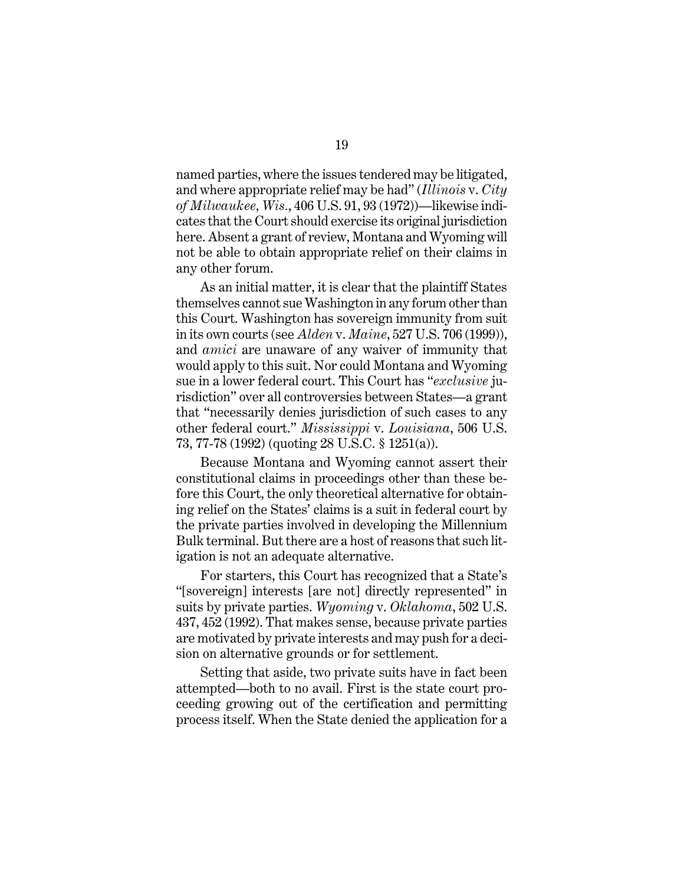named parties, where the issues tendered may be litigated, and where appropriate relief may be had" (*Illinois* v. *City of Milwaukee, Wis.*, 406 U.S. 91, 93 (1972))—likewise indicates that the Court should exercise its original jurisdiction here. Absent a grant of review, Montana and Wyoming will not be able to obtain appropriate relief on their claims in any other forum.

As an initial matter, it is clear that the plaintiff States themselves cannot sue Washington in any forum other than this Court. Washington has sovereign immunity from suit in its own courts (see *Alden* v. *Maine*, 527 U.S. 706 (1999)), and *amici* are unaware of any waiver of immunity that would apply to this suit. Nor could Montana and Wyoming sue in a lower federal court. This Court has "*exclusive* jurisdiction" over all controversies between States—a grant that "necessarily denies jurisdiction of such cases to any other federal court." *Mississippi* v. *Louisiana*, 506 U.S. 73, 77-78 (1992) (quoting 28 U.S.C. § 1251(a)).

Because Montana and Wyoming cannot assert their constitutional claims in proceedings other than these before this Court, the only theoretical alternative for obtaining relief on the States' claims is a suit in federal court by the private parties involved in developing the Millennium Bulk terminal. But there are a host of reasons that such litigation is not an adequate alternative.

For starters, this Court has recognized that a State's "[sovereign] interests [are not] directly represented" in suits by private parties. *Wyoming* v. *Oklahoma*, 502 U.S. 437, 452 (1992). That makes sense, because private parties are motivated by private interests and may push for a decision on alternative grounds or for settlement.

Setting that aside, two private suits have in fact been attempted—both to no avail. First is the state court proceeding growing out of the certification and permitting process itself. When the State denied the application for a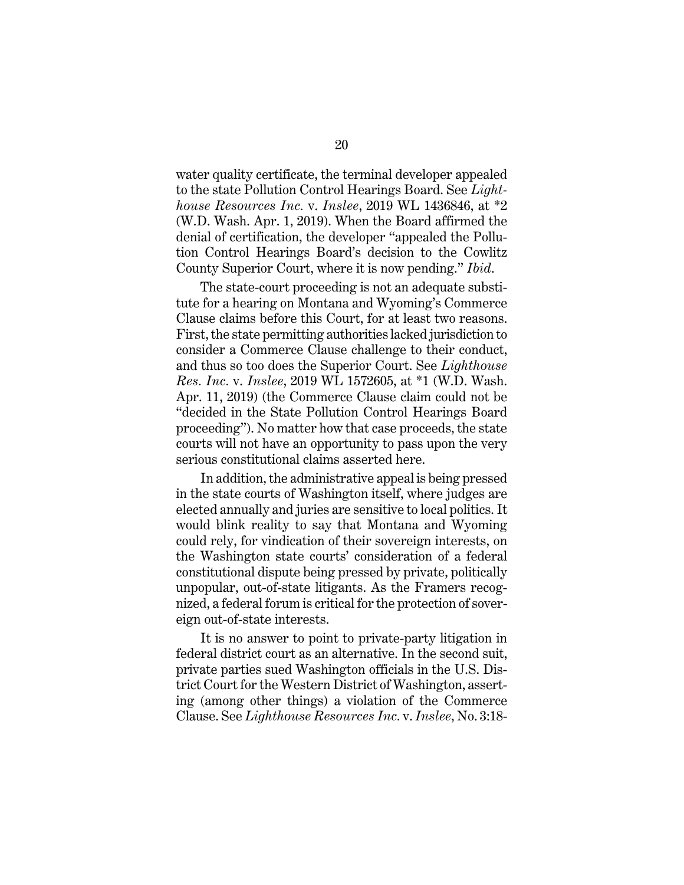water quality certificate, the terminal developer appealed to the state Pollution Control Hearings Board. See *Lighthouse Resources Inc.* v. *Inslee*, 2019 WL 1436846, at \*2 (W.D. Wash. Apr. 1, 2019). When the Board affirmed the denial of certification, the developer "appealed the Pollution Control Hearings Board's decision to the Cowlitz County Superior Court, where it is now pending." *Ibid*.

The state-court proceeding is not an adequate substitute for a hearing on Montana and Wyoming's Commerce Clause claims before this Court, for at least two reasons. First, the state permitting authorities lacked jurisdiction to consider a Commerce Clause challenge to their conduct, and thus so too does the Superior Court. See *Lighthouse Res. Inc.* v. *Inslee*, 2019 WL 1572605, at \*1 (W.D. Wash. Apr. 11, 2019) (the Commerce Clause claim could not be "decided in the State Pollution Control Hearings Board proceeding"). No matter how that case proceeds, the state courts will not have an opportunity to pass upon the very serious constitutional claims asserted here.

In addition, the administrative appeal is being pressed in the state courts of Washington itself, where judges are elected annually and juries are sensitive to local politics. It would blink reality to say that Montana and Wyoming could rely, for vindication of their sovereign interests, on the Washington state courts' consideration of a federal constitutional dispute being pressed by private, politically unpopular, out-of-state litigants. As the Framers recognized, a federal forum is critical for the protection of sovereign out-of-state interests.

It is no answer to point to private-party litigation in federal district court as an alternative. In the second suit, private parties sued Washington officials in the U.S. District Court for the Western District of Washington, asserting (among other things) a violation of the Commerce Clause. See *Lighthouse Resources Inc.* v. *Inslee*, No. 3:18